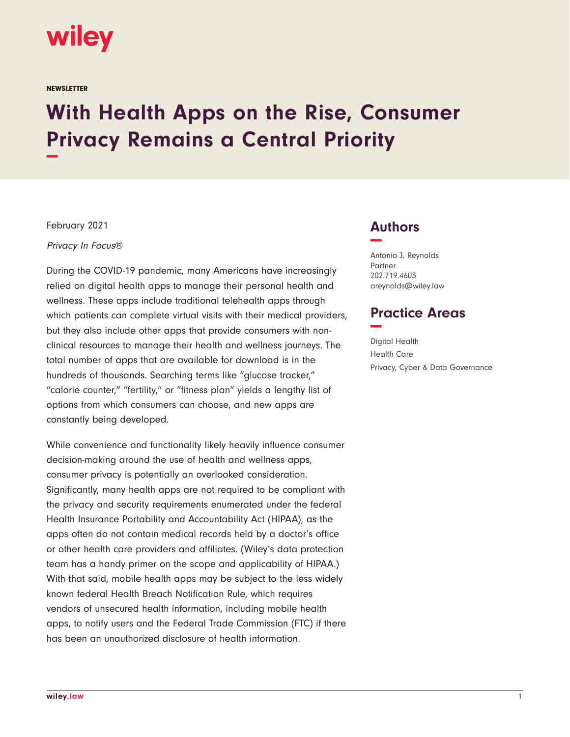

**NEWSLETTER** 

## **With Health Apps on the Rise, Consumer Privacy Remains a Central Priority −**

February 2021

Privacy In Focus®

During the COVID-19 pandemic, many Americans have increasingly relied on digital health apps to manage their personal health and wellness. These apps include traditional telehealth apps through which patients can complete virtual visits with their medical providers, but they also include other apps that provide consumers with nonclinical resources to manage their health and wellness journeys. The total number of apps that are available for download is in the hundreds of thousands. Searching terms like "glucose tracker," "calorie counter," "fertility," or "fitness plan" yields a lengthy list of options from which consumers can choose, and new apps are constantly being developed.

While convenience and functionality likely heavily influence consumer decision-making around the use of health and wellness apps, consumer privacy is potentially an overlooked consideration. Significantly, many health apps are not required to be compliant with the privacy and security requirements enumerated under the federal Health Insurance Portability and Accountability Act (HIPAA), as the apps often do not contain medical records held by a doctor's office or other health care providers and affiliates. (Wiley's data protection team has a handy primer on the scope and applicability of HIPAA.) With that said, mobile health apps may be subject to the less widely known federal Health Breach Notification Rule, which requires vendors of unsecured health information, including mobile health apps, to notify users and the Federal Trade Commission (FTC) if there has been an unauthorized disclosure of health information.

## **Authors −**

Antonio J. Reynolds Partner 202.719.4603 areynolds@wiley.law

## **Practice Areas −**

Digital Health Health Care Privacy, Cyber & Data Governance